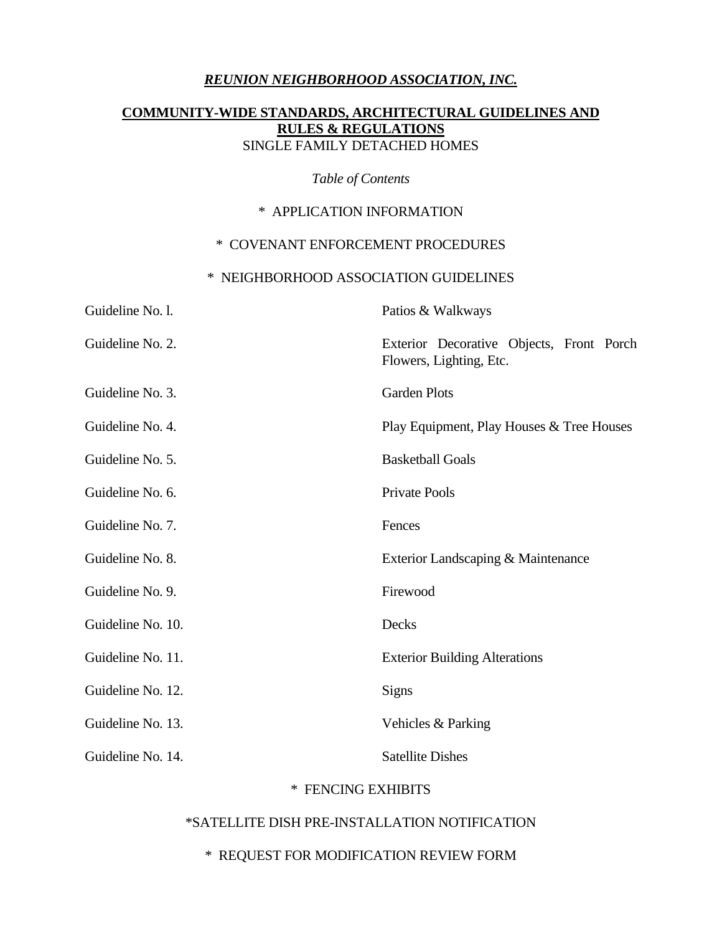## *REUNION NEIGHBORHOOD ASSOCIATION, INC.*

#### **COMMUNITY-WIDE STANDARDS, ARCHITECTURAL GUIDELINES AND RULES & REGULATIONS** SINGLE FAMILY DETACHED HOMES

*Table of Contents*

#### \* APPLICATION INFORMATION

### \* COVENANT ENFORCEMENT PROCEDURES

#### \* NEIGHBORHOOD ASSOCIATION GUIDELINES

| Guideline No. l.  | Patios & Walkways                                                   |  |  |  |
|-------------------|---------------------------------------------------------------------|--|--|--|
| Guideline No. 2.  | Exterior Decorative Objects, Front Porch<br>Flowers, Lighting, Etc. |  |  |  |
| Guideline No. 3.  | <b>Garden Plots</b>                                                 |  |  |  |
| Guideline No. 4.  | Play Equipment, Play Houses & Tree Houses                           |  |  |  |
| Guideline No. 5.  | <b>Basketball Goals</b>                                             |  |  |  |
| Guideline No. 6.  | <b>Private Pools</b>                                                |  |  |  |
| Guideline No. 7.  | Fences                                                              |  |  |  |
| Guideline No. 8.  | Exterior Landscaping & Maintenance                                  |  |  |  |
| Guideline No. 9.  | Firewood                                                            |  |  |  |
| Guideline No. 10. | Decks                                                               |  |  |  |
| Guideline No. 11. | <b>Exterior Building Alterations</b>                                |  |  |  |
| Guideline No. 12. | <b>Signs</b>                                                        |  |  |  |
| Guideline No. 13. | Vehicles & Parking                                                  |  |  |  |
| Guideline No. 14. | <b>Satellite Dishes</b>                                             |  |  |  |

## \* FENCING EXHIBITS

## \*SATELLITE DISH PRE-INSTALLATION NOTIFICATION

# \* REQUEST FOR MODIFICATION REVIEW FORM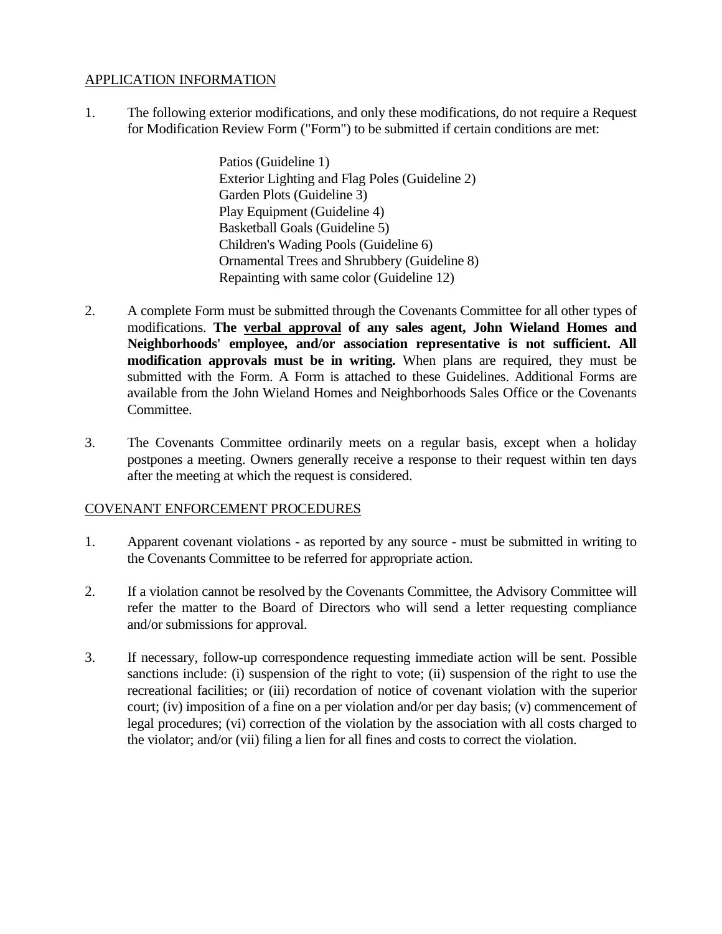## APPLICATION INFORMATION

1. The following exterior modifications, and only these modifications, do not require a Request for Modification Review Form ("Form") to be submitted if certain conditions are met:

> Patios (Guideline 1) Exterior Lighting and Flag Poles (Guideline 2) Garden Plots (Guideline 3) Play Equipment (Guideline 4) Basketball Goals (Guideline 5) Children's Wading Pools (Guideline 6) Ornamental Trees and Shrubbery (Guideline 8) Repainting with same color (Guideline 12)

- 2. A complete Form must be submitted through the Covenants Committee for all other types of modifications. **The verbal approval of any sales agent, John Wieland Homes and Neighborhoods' employee, and/or association representative is not sufficient. All modification approvals must be in writing.** When plans are required, they must be submitted with the Form. A Form is attached to these Guidelines. Additional Forms are available from the John Wieland Homes and Neighborhoods Sales Office or the Covenants Committee.
- 3. The Covenants Committee ordinarily meets on a regular basis, except when a holiday postpones a meeting. Owners generally receive a response to their request within ten days after the meeting at which the request is considered.

### COVENANT ENFORCEMENT PROCEDURES

- 1. Apparent covenant violations as reported by any source must be submitted in writing to the Covenants Committee to be referred for appropriate action.
- 2. If a violation cannot be resolved by the Covenants Committee, the Advisory Committee will refer the matter to the Board of Directors who will send a letter requesting compliance and/or submissions for approval.
- 3. If necessary, follow-up correspondence requesting immediate action will be sent. Possible sanctions include: (i) suspension of the right to vote; (ii) suspension of the right to use the recreational facilities; or (iii) recordation of notice of covenant violation with the superior court; (iv) imposition of a fine on a per violation and/or per day basis; (v) commencement of legal procedures; (vi) correction of the violation by the association with all costs charged to the violator; and/or (vii) filing a lien for all fines and costs to correct the violation.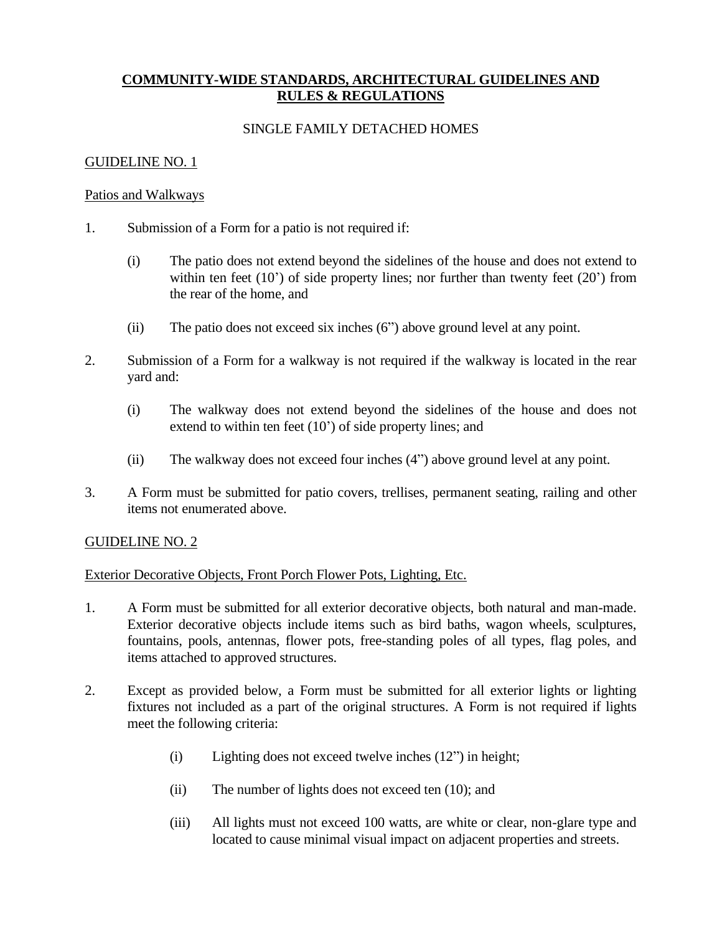# **COMMUNITY-WIDE STANDARDS, ARCHITECTURAL GUIDELINES AND RULES & REGULATIONS**

#### SINGLE FAMILY DETACHED HOMES

#### GUIDELINE NO. 1

#### Patios and Walkways

- 1. Submission of a Form for a patio is not required if:
	- (i) The patio does not extend beyond the sidelines of the house and does not extend to within ten feet (10') of side property lines; nor further than twenty feet (20') from the rear of the home, and
	- (ii) The patio does not exceed six inches (6") above ground level at any point.
- 2. Submission of a Form for a walkway is not required if the walkway is located in the rear yard and:
	- (i) The walkway does not extend beyond the sidelines of the house and does not extend to within ten feet (10') of side property lines; and
	- (ii) The walkway does not exceed four inches (4") above ground level at any point.
- 3. A Form must be submitted for patio covers, trellises, permanent seating, railing and other items not enumerated above.

### GUIDELINE NO. 2

Exterior Decorative Objects, Front Porch Flower Pots, Lighting, Etc.

- 1. A Form must be submitted for all exterior decorative objects, both natural and man-made. Exterior decorative objects include items such as bird baths, wagon wheels, sculptures, fountains, pools, antennas, flower pots, free-standing poles of all types, flag poles, and items attached to approved structures.
- 2. Except as provided below, a Form must be submitted for all exterior lights or lighting fixtures not included as a part of the original structures. A Form is not required if lights meet the following criteria:
	- (i) Lighting does not exceed twelve inches (12") in height;
	- (ii) The number of lights does not exceed ten (10); and
	- (iii) All lights must not exceed 100 watts, are white or clear, non-glare type and located to cause minimal visual impact on adjacent properties and streets.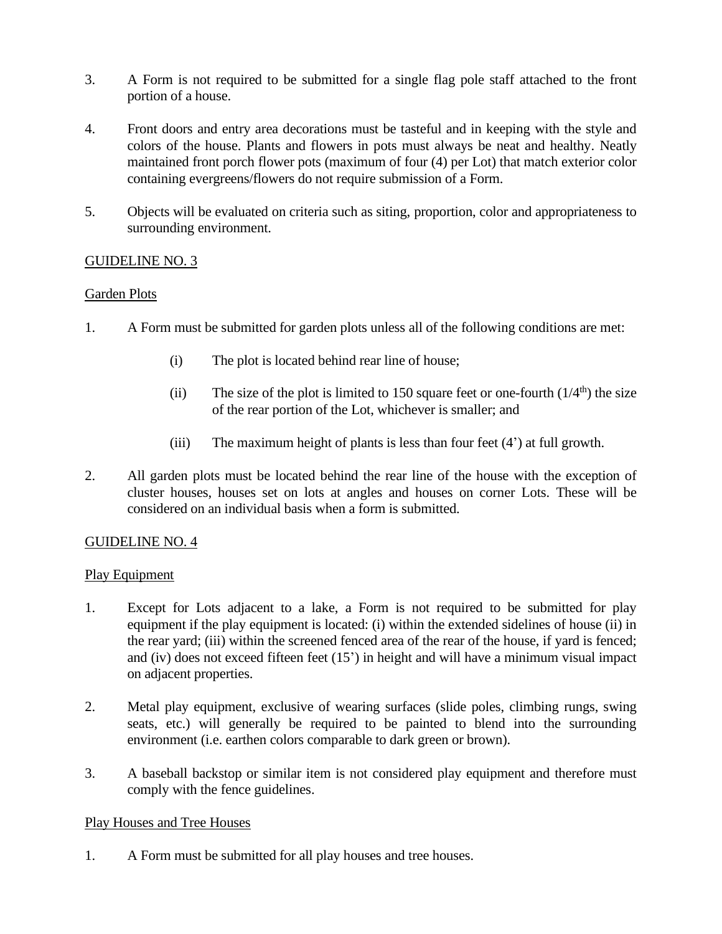- 3. A Form is not required to be submitted for a single flag pole staff attached to the front portion of a house.
- 4. Front doors and entry area decorations must be tasteful and in keeping with the style and colors of the house. Plants and flowers in pots must always be neat and healthy. Neatly maintained front porch flower pots (maximum of four (4) per Lot) that match exterior color containing evergreens/flowers do not require submission of a Form.
- 5. Objects will be evaluated on criteria such as siting, proportion, color and appropriateness to surrounding environment.

### Garden Plots

- 1. A Form must be submitted for garden plots unless all of the following conditions are met:
	- (i) The plot is located behind rear line of house;
	- (ii) The size of the plot is limited to 150 square feet or one-fourth  $(1/4<sup>th</sup>)$  the size of the rear portion of the Lot, whichever is smaller; and
	- (iii) The maximum height of plants is less than four feet (4') at full growth.
- 2. All garden plots must be located behind the rear line of the house with the exception of cluster houses, houses set on lots at angles and houses on corner Lots. These will be considered on an individual basis when a form is submitted.

### GUIDELINE NO. 4

### Play Equipment

- 1. Except for Lots adjacent to a lake, a Form is not required to be submitted for play equipment if the play equipment is located: (i) within the extended sidelines of house (ii) in the rear yard; (iii) within the screened fenced area of the rear of the house, if yard is fenced; and (iv) does not exceed fifteen feet (15') in height and will have a minimum visual impact on adjacent properties.
- 2. Metal play equipment, exclusive of wearing surfaces (slide poles, climbing rungs, swing seats, etc.) will generally be required to be painted to blend into the surrounding environment (i.e. earthen colors comparable to dark green or brown).
- 3. A baseball backstop or similar item is not considered play equipment and therefore must comply with the fence guidelines.

### Play Houses and Tree Houses

1. A Form must be submitted for all play houses and tree houses.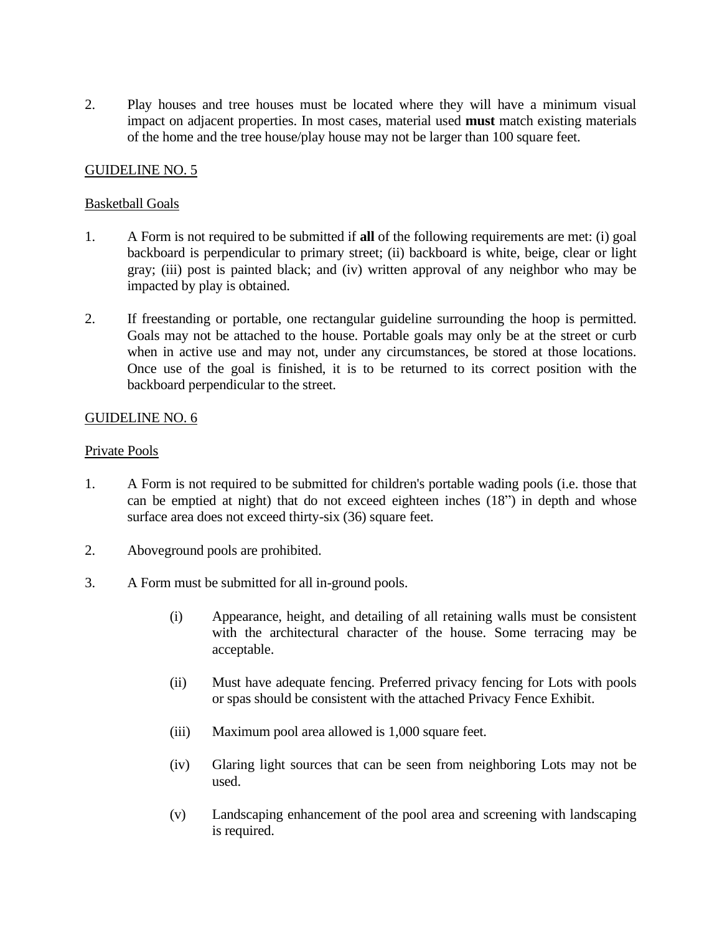2. Play houses and tree houses must be located where they will have a minimum visual impact on adjacent properties. In most cases, material used **must** match existing materials of the home and the tree house/play house may not be larger than 100 square feet.

## GUIDELINE NO. 5

## Basketball Goals

- 1. A Form is not required to be submitted if **all** of the following requirements are met: (i) goal backboard is perpendicular to primary street; (ii) backboard is white, beige, clear or light gray; (iii) post is painted black; and (iv) written approval of any neighbor who may be impacted by play is obtained.
- 2. If freestanding or portable, one rectangular guideline surrounding the hoop is permitted. Goals may not be attached to the house. Portable goals may only be at the street or curb when in active use and may not, under any circumstances, be stored at those locations. Once use of the goal is finished, it is to be returned to its correct position with the backboard perpendicular to the street.

## GUIDELINE NO. 6

### Private Pools

- 1. A Form is not required to be submitted for children's portable wading pools (i.e. those that can be emptied at night) that do not exceed eighteen inches (18") in depth and whose surface area does not exceed thirty-six (36) square feet.
- 2. Aboveground pools are prohibited.
- 3. A Form must be submitted for all in-ground pools.
	- (i) Appearance, height, and detailing of all retaining walls must be consistent with the architectural character of the house. Some terracing may be acceptable.
	- (ii) Must have adequate fencing. Preferred privacy fencing for Lots with pools or spas should be consistent with the attached Privacy Fence Exhibit.
	- (iii) Maximum pool area allowed is 1,000 square feet.
	- (iv) Glaring light sources that can be seen from neighboring Lots may not be used.
	- (v) Landscaping enhancement of the pool area and screening with landscaping is required.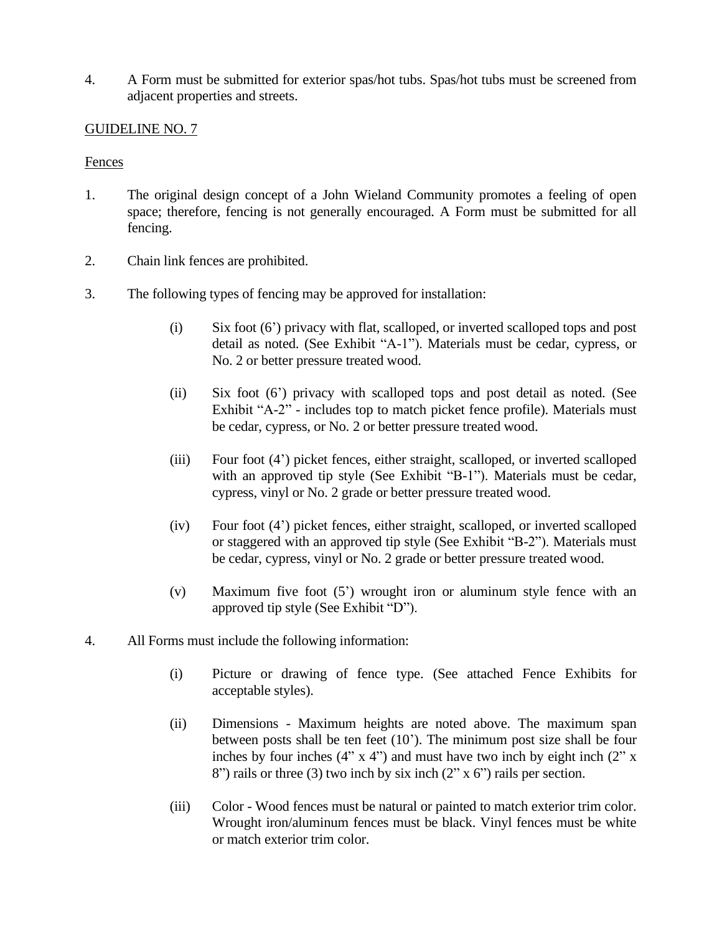4. A Form must be submitted for exterior spas/hot tubs. Spas/hot tubs must be screened from adjacent properties and streets.

## GUIDELINE NO. 7

### Fences

- 1. The original design concept of a John Wieland Community promotes a feeling of open space; therefore, fencing is not generally encouraged. A Form must be submitted for all fencing.
- 2. Chain link fences are prohibited.
- 3. The following types of fencing may be approved for installation:
	- (i) Six foot (6') privacy with flat, scalloped, or inverted scalloped tops and post detail as noted. (See Exhibit "A-1"). Materials must be cedar, cypress, or No. 2 or better pressure treated wood.
	- (ii) Six foot (6') privacy with scalloped tops and post detail as noted. (See Exhibit "A-2" - includes top to match picket fence profile). Materials must be cedar, cypress, or No. 2 or better pressure treated wood.
	- (iii) Four foot (4') picket fences, either straight, scalloped, or inverted scalloped with an approved tip style (See Exhibit "B-1"). Materials must be cedar, cypress, vinyl or No. 2 grade or better pressure treated wood.
	- (iv) Four foot (4') picket fences, either straight, scalloped, or inverted scalloped or staggered with an approved tip style (See Exhibit "B-2"). Materials must be cedar, cypress, vinyl or No. 2 grade or better pressure treated wood.
	- (v) Maximum five foot (5') wrought iron or aluminum style fence with an approved tip style (See Exhibit "D").
- 4. All Forms must include the following information:
	- (i) Picture or drawing of fence type. (See attached Fence Exhibits for acceptable styles).
	- (ii) Dimensions Maximum heights are noted above. The maximum span between posts shall be ten feet (10'). The minimum post size shall be four inches by four inches  $(4" x 4")$  and must have two inch by eight inch  $(2" x)$ 8") rails or three (3) two inch by six inch (2" x 6") rails per section.
	- (iii) Color Wood fences must be natural or painted to match exterior trim color. Wrought iron/aluminum fences must be black. Vinyl fences must be white or match exterior trim color.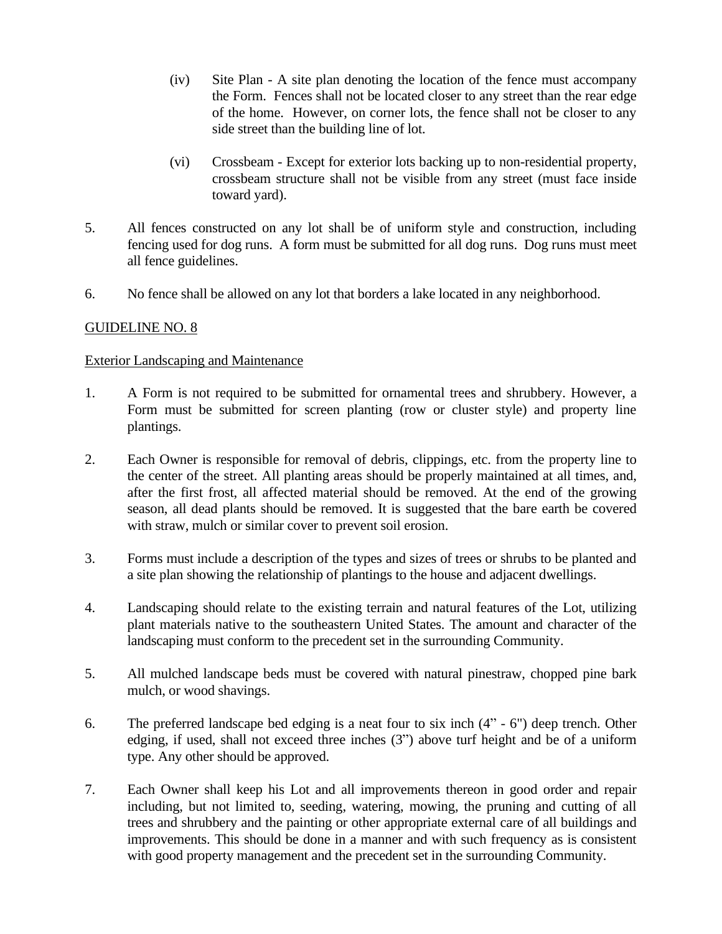- (iv) Site Plan A site plan denoting the location of the fence must accompany the Form. Fences shall not be located closer to any street than the rear edge of the home. However, on corner lots, the fence shall not be closer to any side street than the building line of lot.
- (vi) Crossbeam Except for exterior lots backing up to non-residential property, crossbeam structure shall not be visible from any street (must face inside toward yard).
- 5. All fences constructed on any lot shall be of uniform style and construction, including fencing used for dog runs. A form must be submitted for all dog runs. Dog runs must meet all fence guidelines.
- 6. No fence shall be allowed on any lot that borders a lake located in any neighborhood.

### Exterior Landscaping and Maintenance

- 1. A Form is not required to be submitted for ornamental trees and shrubbery. However, a Form must be submitted for screen planting (row or cluster style) and property line plantings.
- 2. Each Owner is responsible for removal of debris, clippings, etc. from the property line to the center of the street. All planting areas should be properly maintained at all times, and, after the first frost, all affected material should be removed. At the end of the growing season, all dead plants should be removed. It is suggested that the bare earth be covered with straw, mulch or similar cover to prevent soil erosion.
- 3. Forms must include a description of the types and sizes of trees or shrubs to be planted and a site plan showing the relationship of plantings to the house and adjacent dwellings.
- 4. Landscaping should relate to the existing terrain and natural features of the Lot, utilizing plant materials native to the southeastern United States. The amount and character of the landscaping must conform to the precedent set in the surrounding Community.
- 5. All mulched landscape beds must be covered with natural pinestraw, chopped pine bark mulch, or wood shavings.
- 6. The preferred landscape bed edging is a neat four to six inch (4" 6") deep trench. Other edging, if used, shall not exceed three inches (3") above turf height and be of a uniform type. Any other should be approved.
- 7. Each Owner shall keep his Lot and all improvements thereon in good order and repair including, but not limited to, seeding, watering, mowing, the pruning and cutting of all trees and shrubbery and the painting or other appropriate external care of all buildings and improvements. This should be done in a manner and with such frequency as is consistent with good property management and the precedent set in the surrounding Community.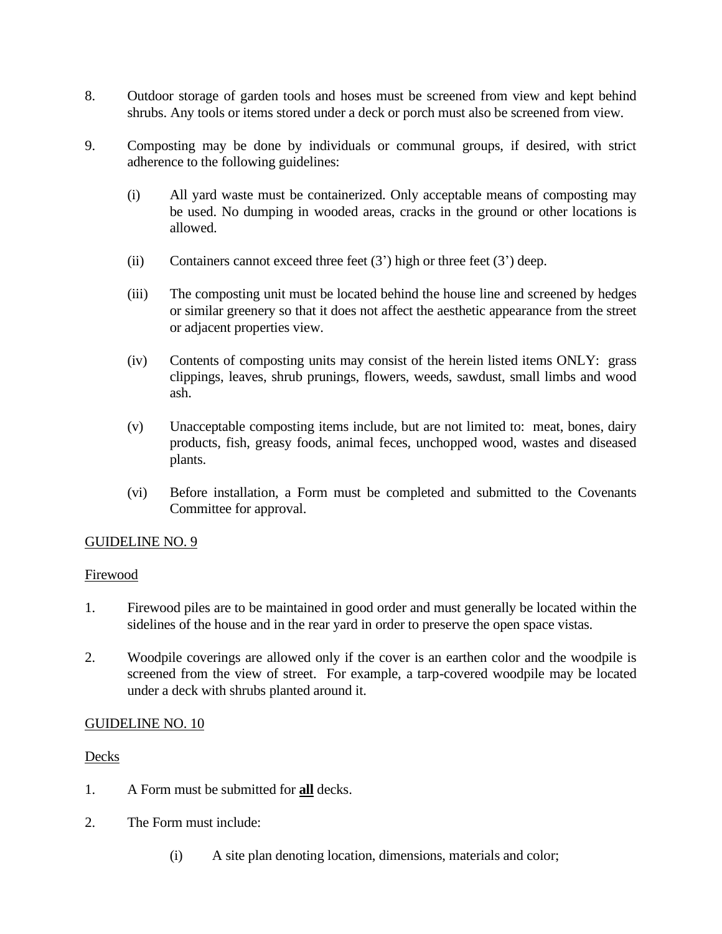- 8. Outdoor storage of garden tools and hoses must be screened from view and kept behind shrubs. Any tools or items stored under a deck or porch must also be screened from view.
- 9. Composting may be done by individuals or communal groups, if desired, with strict adherence to the following guidelines:
	- (i) All yard waste must be containerized. Only acceptable means of composting may be used. No dumping in wooded areas, cracks in the ground or other locations is allowed.
	- (ii) Containers cannot exceed three feet  $(3')$  high or three feet  $(3')$  deep.
	- (iii) The composting unit must be located behind the house line and screened by hedges or similar greenery so that it does not affect the aesthetic appearance from the street or adjacent properties view.
	- (iv) Contents of composting units may consist of the herein listed items ONLY: grass clippings, leaves, shrub prunings, flowers, weeds, sawdust, small limbs and wood ash.
	- (v) Unacceptable composting items include, but are not limited to: meat, bones, dairy products, fish, greasy foods, animal feces, unchopped wood, wastes and diseased plants.
	- (vi) Before installation, a Form must be completed and submitted to the Covenants Committee for approval.

### Firewood

- 1. Firewood piles are to be maintained in good order and must generally be located within the sidelines of the house and in the rear yard in order to preserve the open space vistas.
- 2. Woodpile coverings are allowed only if the cover is an earthen color and the woodpile is screened from the view of street. For example, a tarp-covered woodpile may be located under a deck with shrubs planted around it.

### GUIDELINE NO. 10

### Decks

- 1. A Form must be submitted for **all** decks.
- 2. The Form must include:
	- (i) A site plan denoting location, dimensions, materials and color;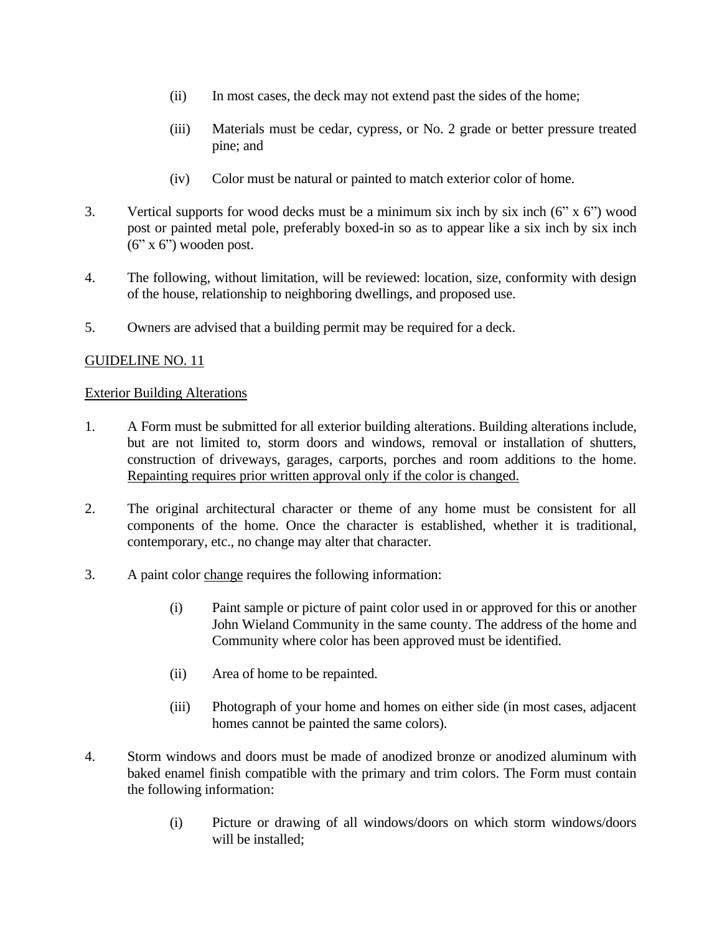- (ii) In most cases, the deck may not extend past the sides of the home;
- (iii) Materials must be cedar, cypress, or No. 2 grade or better pressure treated pine; and
- (iv) Color must be natural or painted to match exterior color of home.
- 3. Vertical supports for wood decks must be a minimum six inch by six inch (6" x 6") wood post or painted metal pole, preferably boxed-in so as to appear like a six inch by six inch  $(6" x 6")$  wooden post.
- 4. The following, without limitation, will be reviewed: location, size, conformity with design of the house, relationship to neighboring dwellings, and proposed use.
- 5. Owners are advised that a building permit may be required for a deck.

### Exterior Building Alterations

- 1. A Form must be submitted for all exterior building alterations. Building alterations include, but are not limited to, storm doors and windows, removal or installation of shutters, construction of driveways, garages, carports, porches and room additions to the home. Repainting requires prior written approval only if the color is changed.
- 2. The original architectural character or theme of any home must be consistent for all components of the home. Once the character is established, whether it is traditional, contemporary, etc., no change may alter that character.
- 3. A paint color change requires the following information:
	- (i) Paint sample or picture of paint color used in or approved for this or another John Wieland Community in the same county. The address of the home and Community where color has been approved must be identified.
	- (ii) Area of home to be repainted.
	- (iii) Photograph of your home and homes on either side (in most cases, adjacent homes cannot be painted the same colors).
- 4. Storm windows and doors must be made of anodized bronze or anodized aluminum with baked enamel finish compatible with the primary and trim colors. The Form must contain the following information:
	- (i) Picture or drawing of all windows/doors on which storm windows/doors will be installed;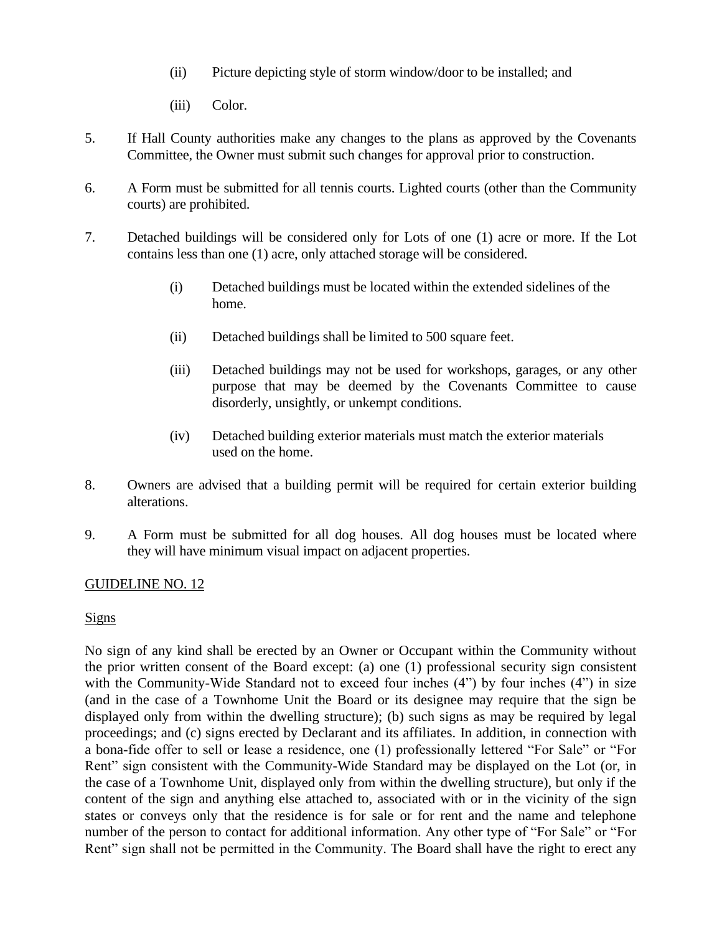- (ii) Picture depicting style of storm window/door to be installed; and
- (iii) Color.
- 5. If Hall County authorities make any changes to the plans as approved by the Covenants Committee, the Owner must submit such changes for approval prior to construction.
- 6. A Form must be submitted for all tennis courts. Lighted courts (other than the Community courts) are prohibited.
- 7. Detached buildings will be considered only for Lots of one (1) acre or more. If the Lot contains less than one (1) acre, only attached storage will be considered.
	- (i) Detached buildings must be located within the extended sidelines of the home.
	- (ii) Detached buildings shall be limited to 500 square feet.
	- (iii) Detached buildings may not be used for workshops, garages, or any other purpose that may be deemed by the Covenants Committee to cause disorderly, unsightly, or unkempt conditions.
	- (iv) Detached building exterior materials must match the exterior materials used on the home.
- 8. Owners are advised that a building permit will be required for certain exterior building alterations.
- 9. A Form must be submitted for all dog houses. All dog houses must be located where they will have minimum visual impact on adjacent properties.

### Signs

No sign of any kind shall be erected by an Owner or Occupant within the Community without the prior written consent of the Board except: (a) one (1) professional security sign consistent with the Community-Wide Standard not to exceed four inches (4") by four inches (4") in size (and in the case of a Townhome Unit the Board or its designee may require that the sign be displayed only from within the dwelling structure); (b) such signs as may be required by legal proceedings; and (c) signs erected by Declarant and its affiliates. In addition, in connection with a bona-fide offer to sell or lease a residence, one (1) professionally lettered "For Sale" or "For Rent" sign consistent with the Community-Wide Standard may be displayed on the Lot (or, in the case of a Townhome Unit, displayed only from within the dwelling structure), but only if the content of the sign and anything else attached to, associated with or in the vicinity of the sign states or conveys only that the residence is for sale or for rent and the name and telephone number of the person to contact for additional information. Any other type of "For Sale" or "For Rent" sign shall not be permitted in the Community. The Board shall have the right to erect any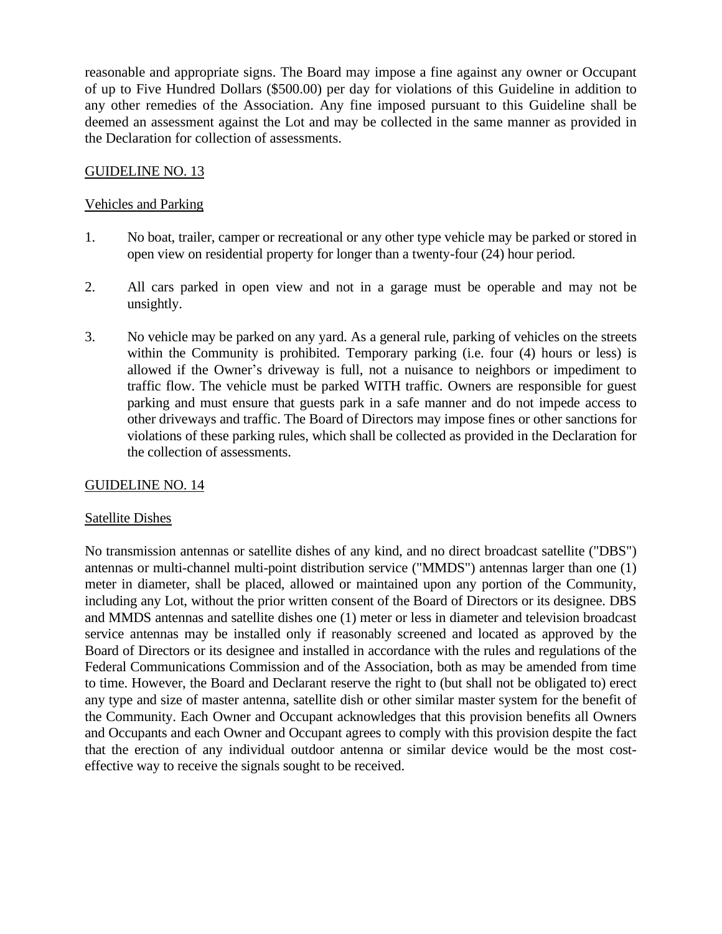reasonable and appropriate signs. The Board may impose a fine against any owner or Occupant of up to Five Hundred Dollars (\$500.00) per day for violations of this Guideline in addition to any other remedies of the Association. Any fine imposed pursuant to this Guideline shall be deemed an assessment against the Lot and may be collected in the same manner as provided in the Declaration for collection of assessments.

## GUIDELINE NO. 13

## Vehicles and Parking

- 1. No boat, trailer, camper or recreational or any other type vehicle may be parked or stored in open view on residential property for longer than a twenty-four (24) hour period.
- 2. All cars parked in open view and not in a garage must be operable and may not be unsightly.
- 3. No vehicle may be parked on any yard. As a general rule, parking of vehicles on the streets within the Community is prohibited. Temporary parking (i.e. four (4) hours or less) is allowed if the Owner's driveway is full, not a nuisance to neighbors or impediment to traffic flow. The vehicle must be parked WITH traffic. Owners are responsible for guest parking and must ensure that guests park in a safe manner and do not impede access to other driveways and traffic. The Board of Directors may impose fines or other sanctions for violations of these parking rules, which shall be collected as provided in the Declaration for the collection of assessments.

### GUIDELINE NO. 14

### Satellite Dishes

No transmission antennas or satellite dishes of any kind, and no direct broadcast satellite ("DBS") antennas or multi-channel multi-point distribution service ("MMDS") antennas larger than one (1) meter in diameter, shall be placed, allowed or maintained upon any portion of the Community, including any Lot, without the prior written consent of the Board of Directors or its designee. DBS and MMDS antennas and satellite dishes one (1) meter or less in diameter and television broadcast service antennas may be installed only if reasonably screened and located as approved by the Board of Directors or its designee and installed in accordance with the rules and regulations of the Federal Communications Commission and of the Association, both as may be amended from time to time. However, the Board and Declarant reserve the right to (but shall not be obligated to) erect any type and size of master antenna, satellite dish or other similar master system for the benefit of the Community. Each Owner and Occupant acknowledges that this provision benefits all Owners and Occupants and each Owner and Occupant agrees to comply with this provision despite the fact that the erection of any individual outdoor antenna or similar device would be the most costeffective way to receive the signals sought to be received.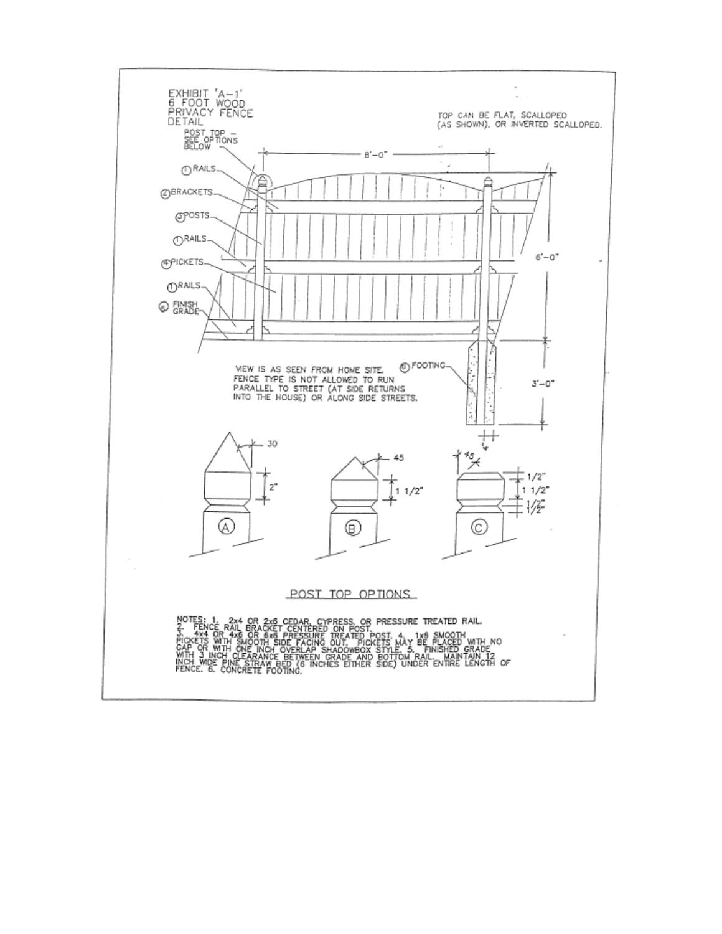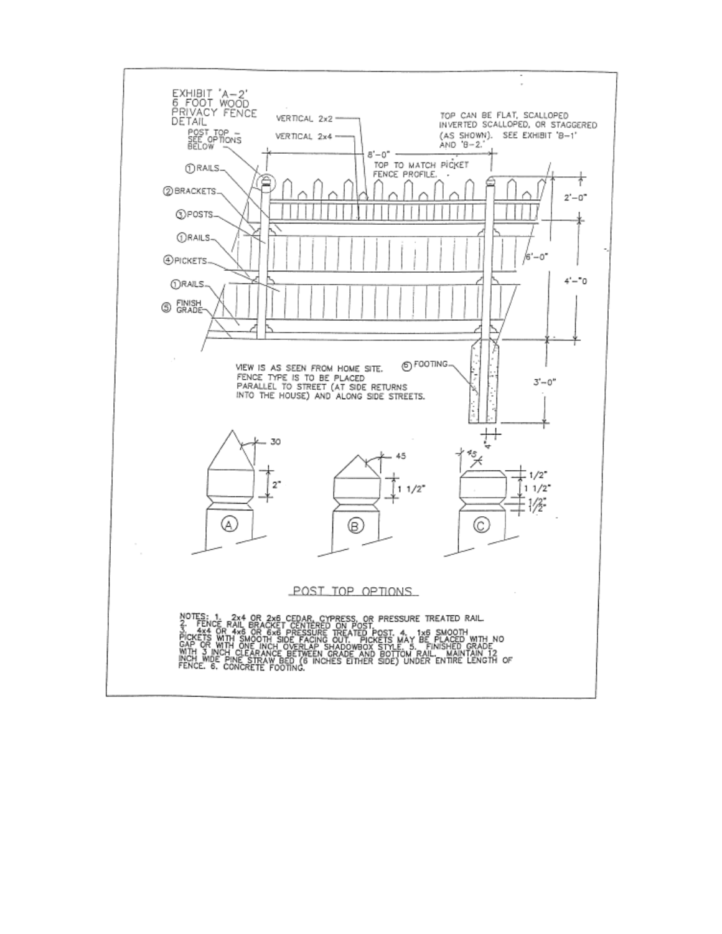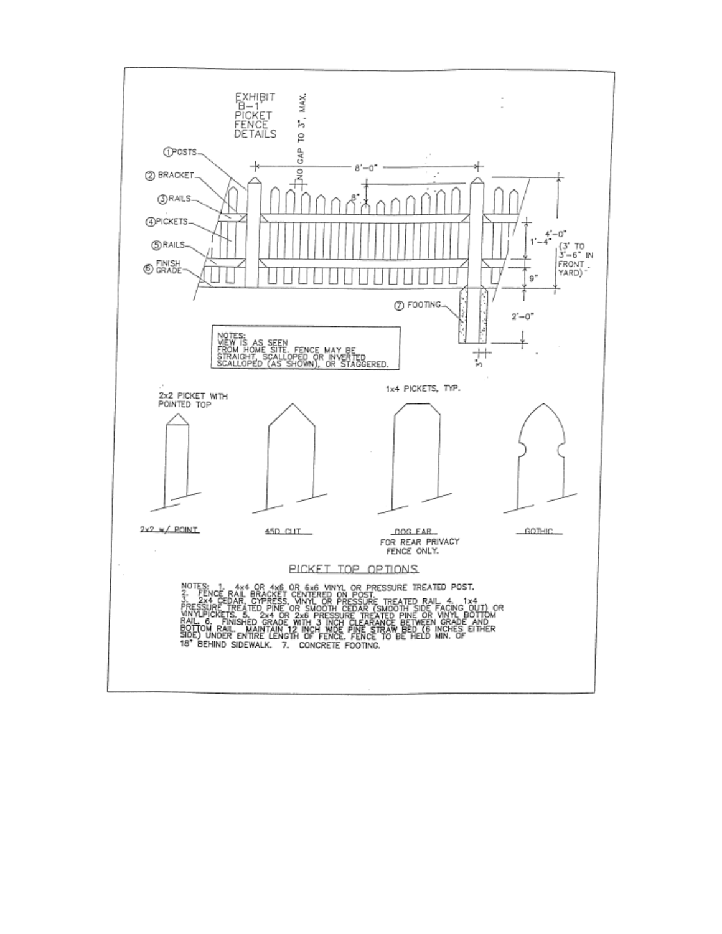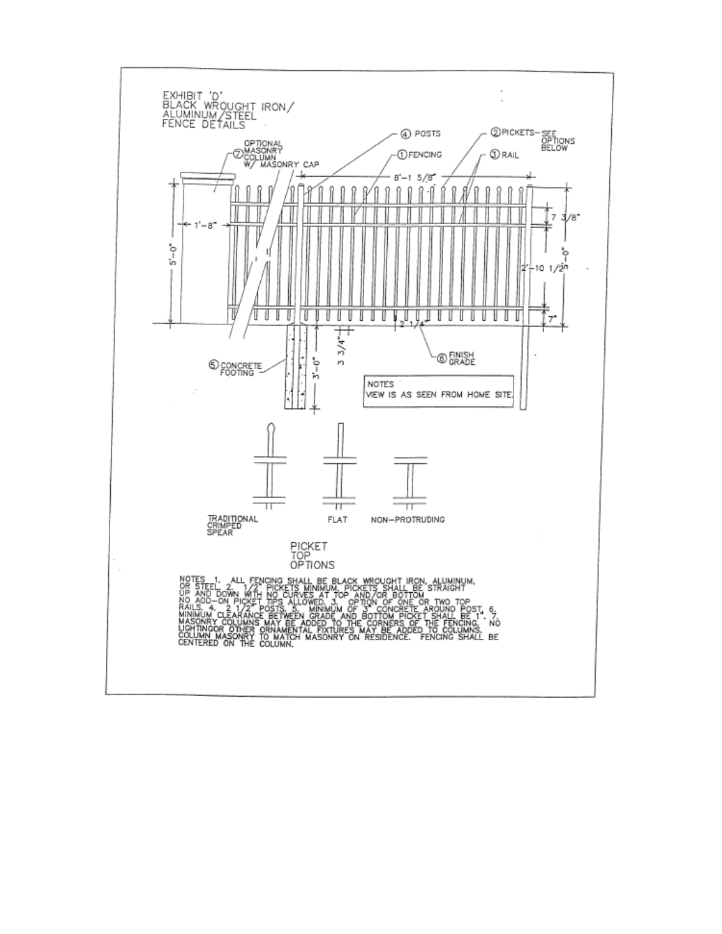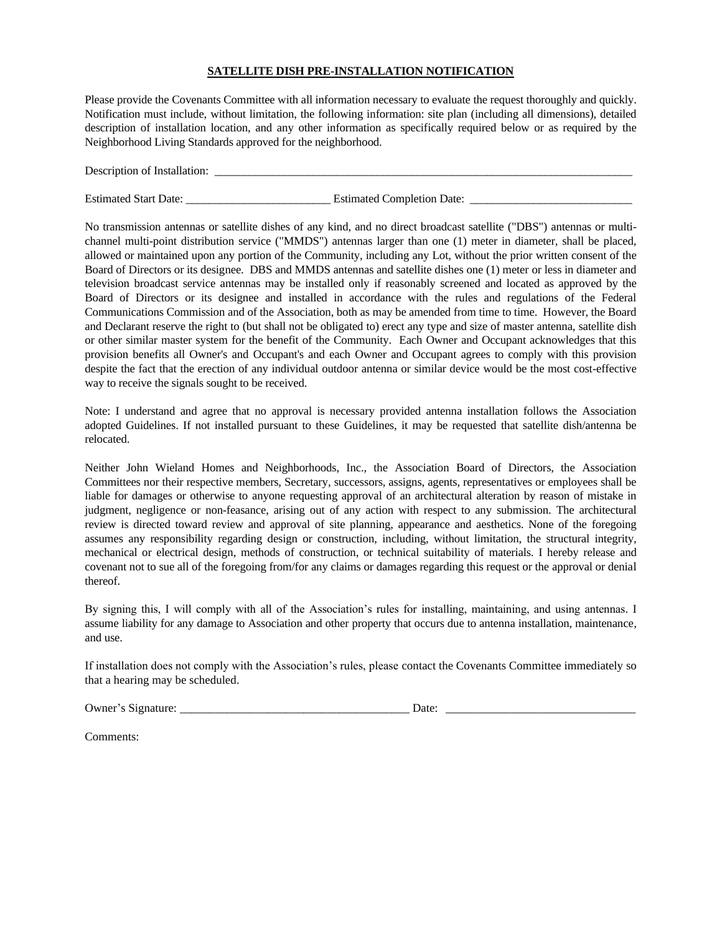#### **SATELLITE DISH PRE-INSTALLATION NOTIFICATION**

Please provide the Covenants Committee with all information necessary to evaluate the request thoroughly and quickly. Notification must include, without limitation, the following information: site plan (including all dimensions), detailed description of installation location, and any other information as specifically required below or as required by the Neighborhood Living Standards approved for the neighborhood.

Description of Installation:

Estimated Start Date: \_\_\_\_\_\_\_\_\_\_\_\_\_\_\_\_\_\_\_\_\_\_\_\_\_ Estimated Completion Date: \_\_\_\_\_\_\_\_\_\_\_\_\_\_\_\_\_\_\_\_\_\_\_\_\_\_\_\_

No transmission antennas or satellite dishes of any kind, and no direct broadcast satellite ("DBS") antennas or multichannel multi-point distribution service ("MMDS") antennas larger than one (1) meter in diameter, shall be placed, allowed or maintained upon any portion of the Community, including any Lot, without the prior written consent of the Board of Directors or its designee. DBS and MMDS antennas and satellite dishes one (1) meter or less in diameter and television broadcast service antennas may be installed only if reasonably screened and located as approved by the Board of Directors or its designee and installed in accordance with the rules and regulations of the Federal Communications Commission and of the Association, both as may be amended from time to time. However, the Board and Declarant reserve the right to (but shall not be obligated to) erect any type and size of master antenna, satellite dish or other similar master system for the benefit of the Community. Each Owner and Occupant acknowledges that this provision benefits all Owner's and Occupant's and each Owner and Occupant agrees to comply with this provision despite the fact that the erection of any individual outdoor antenna or similar device would be the most cost-effective way to receive the signals sought to be received.

Note: I understand and agree that no approval is necessary provided antenna installation follows the Association adopted Guidelines. If not installed pursuant to these Guidelines, it may be requested that satellite dish/antenna be relocated.

Neither John Wieland Homes and Neighborhoods, Inc., the Association Board of Directors, the Association Committees nor their respective members, Secretary, successors, assigns, agents, representatives or employees shall be liable for damages or otherwise to anyone requesting approval of an architectural alteration by reason of mistake in judgment, negligence or non-feasance, arising out of any action with respect to any submission. The architectural review is directed toward review and approval of site planning, appearance and aesthetics. None of the foregoing assumes any responsibility regarding design or construction, including, without limitation, the structural integrity, mechanical or electrical design, methods of construction, or technical suitability of materials. I hereby release and covenant not to sue all of the foregoing from/for any claims or damages regarding this request or the approval or denial thereof.

By signing this, I will comply with all of the Association's rules for installing, maintaining, and using antennas. I assume liability for any damage to Association and other property that occurs due to antenna installation, maintenance, and use.

If installation does not comply with the Association's rules, please contact the Covenants Committee immediately so that a hearing may be scheduled.

Owner's Signature:  $\Box$ 

Comments: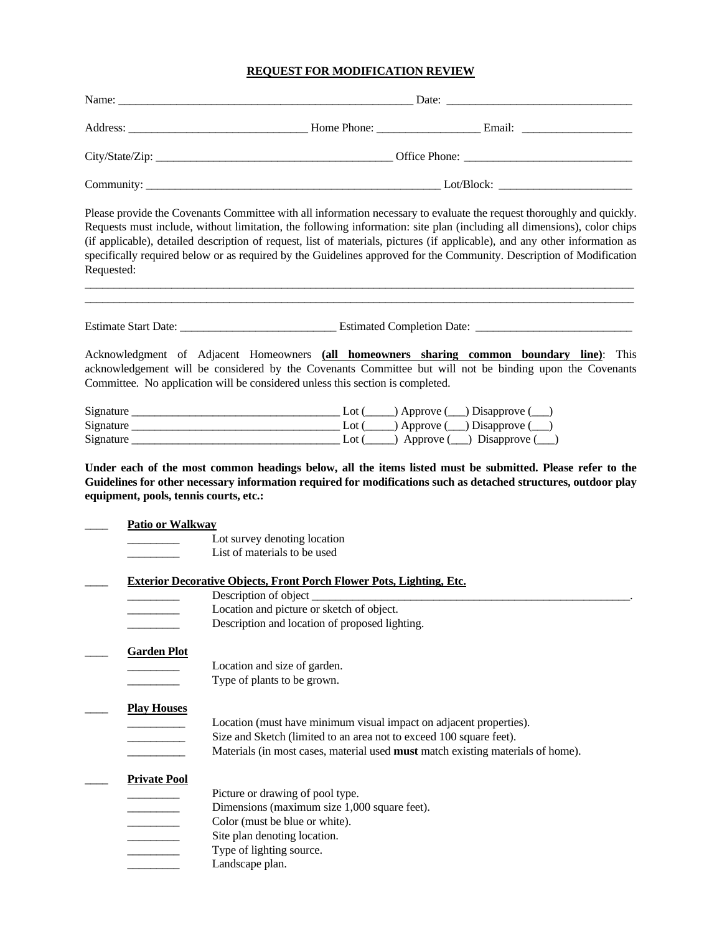#### **REQUEST FOR MODIFICATION REVIEW**

| Name:         |  |  |  |
|---------------|--|--|--|
|               |  |  |  |
| Office Phone: |  |  |  |
|               |  |  |  |

Please provide the Covenants Committee with all information necessary to evaluate the request thoroughly and quickly. Requests must include, without limitation, the following information: site plan (including all dimensions), color chips (if applicable), detailed description of request, list of materials, pictures (if applicable), and any other information as specifically required below or as required by the Guidelines approved for the Community. Description of Modification Requested:

 $\overline{\phantom{a}}$  , and the contribution of the contribution of the contribution of the contribution of the contribution of the contribution of the contribution of the contribution of the contribution of the contribution of the  $\_$  ,  $\_$  ,  $\_$  ,  $\_$  ,  $\_$  ,  $\_$  ,  $\_$  ,  $\_$  ,  $\_$  ,  $\_$  ,  $\_$  ,  $\_$  ,  $\_$  ,  $\_$  ,  $\_$  ,  $\_$  ,  $\_$  ,  $\_$  ,  $\_$  ,  $\_$  ,  $\_$  ,  $\_$  ,  $\_$  ,  $\_$  ,  $\_$  ,  $\_$  ,  $\_$  ,  $\_$  ,  $\_$  ,  $\_$  ,  $\_$  ,  $\_$  ,  $\_$  ,  $\_$  ,  $\_$  ,  $\_$  ,  $\_$  ,

Estimate Start Date: \_\_\_\_\_\_\_\_\_\_\_\_\_\_\_\_\_\_\_\_\_\_\_\_\_\_\_ Estimated Completion Date: \_\_\_\_\_\_\_\_\_\_\_\_\_\_\_\_\_\_\_\_\_\_\_\_\_\_\_

Acknowledgment of Adjacent Homeowners **(all homeowners sharing common boundary line)**: This acknowledgement will be considered by the Covenants Committee but will not be binding upon the Covenants Committee. No application will be considered unless this section is completed.

| Signature | Lot ( | $\rightarrow$ Approve ( ) Disapprove (                             |
|-----------|-------|--------------------------------------------------------------------|
| Signature |       | Lot $(\_\_\_)$ Approve $(\_\_)$ Disapprove $(\_\_)$                |
| Signature | Lot ( | $\rightarrow$ Approve $( \rightarrow)$ Disapprove $( \rightarrow)$ |

**Under each of the most common headings below, all the items listed must be submitted. Please refer to the Guidelines for other necessary information required for modifications such as detached structures, outdoor play equipment, pools, tennis courts, etc.:**

| <b>Patio or Walkway</b> |                                                                                 |
|-------------------------|---------------------------------------------------------------------------------|
|                         | Lot survey denoting location                                                    |
|                         | List of materials to be used                                                    |
|                         |                                                                                 |
|                         | <b>Exterior Decorative Objects, Front Porch Flower Pots, Lighting, Etc.</b>     |
|                         | Description of object_                                                          |
|                         | Location and picture or sketch of object.                                       |
|                         | Description and location of proposed lighting.                                  |
| <b>Garden Plot</b>      |                                                                                 |
|                         | Location and size of garden.                                                    |
|                         | Type of plants to be grown.                                                     |
| <b>Play Houses</b>      |                                                                                 |
|                         | Location (must have minimum visual impact on adjacent properties).              |
|                         | Size and Sketch (limited to an area not to exceed 100 square feet).             |
|                         | Materials (in most cases, material used must match existing materials of home). |
| <b>Private Pool</b>     |                                                                                 |
|                         | Picture or drawing of pool type.                                                |
|                         | Dimensions (maximum size 1,000 square feet).                                    |
|                         | Color (must be blue or white).                                                  |
|                         | Site plan denoting location.                                                    |
|                         | Type of lighting source.                                                        |
|                         |                                                                                 |
|                         | Landscape plan.                                                                 |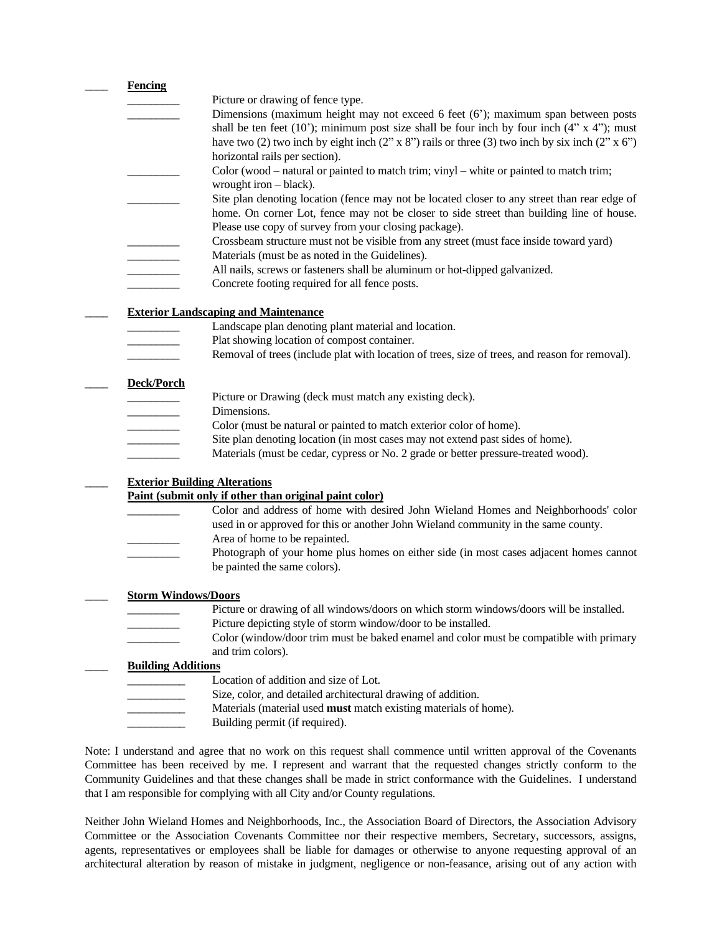| Fencing                    |                                                                                                                                                                                                                                                   |
|----------------------------|---------------------------------------------------------------------------------------------------------------------------------------------------------------------------------------------------------------------------------------------------|
|                            | Picture or drawing of fence type.                                                                                                                                                                                                                 |
|                            | Dimensions (maximum height may not exceed 6 feet (6'); maximum span between posts                                                                                                                                                                 |
|                            | shall be ten feet (10'); minimum post size shall be four inch by four inch $(4'' \times 4'')$ ; must                                                                                                                                              |
|                            | have two (2) two inch by eight inch (2" x 8") rails or three (3) two inch by six inch (2" x 6")                                                                                                                                                   |
|                            | horizontal rails per section).                                                                                                                                                                                                                    |
|                            | Color (wood – natural or painted to match trim; vinyl – white or painted to match trim;                                                                                                                                                           |
|                            | wrought iron $-$ black).                                                                                                                                                                                                                          |
|                            | Site plan denoting location (fence may not be located closer to any street than rear edge of<br>home. On corner Lot, fence may not be closer to side street than building line of house.<br>Please use copy of survey from your closing package). |
|                            | Crossbeam structure must not be visible from any street (must face inside toward yard)                                                                                                                                                            |
|                            |                                                                                                                                                                                                                                                   |
|                            | Materials (must be as noted in the Guidelines).                                                                                                                                                                                                   |
|                            | All nails, screws or fasteners shall be aluminum or hot-dipped galvanized.                                                                                                                                                                        |
|                            | Concrete footing required for all fence posts.                                                                                                                                                                                                    |
|                            | <b>Exterior Landscaping and Maintenance</b>                                                                                                                                                                                                       |
|                            | Landscape plan denoting plant material and location.                                                                                                                                                                                              |
|                            | Plat showing location of compost container.                                                                                                                                                                                                       |
|                            | Removal of trees (include plat with location of trees, size of trees, and reason for removal).                                                                                                                                                    |
|                            |                                                                                                                                                                                                                                                   |
| Deck/Porch                 |                                                                                                                                                                                                                                                   |
|                            | Picture or Drawing (deck must match any existing deck).                                                                                                                                                                                           |
|                            | Dimensions.                                                                                                                                                                                                                                       |
|                            | Color (must be natural or painted to match exterior color of home).                                                                                                                                                                               |
|                            |                                                                                                                                                                                                                                                   |
|                            | Site plan denoting location (in most cases may not extend past sides of home).                                                                                                                                                                    |
|                            | Materials (must be cedar, cypress or No. 2 grade or better pressure-treated wood).                                                                                                                                                                |
|                            | <b>Exterior Building Alterations</b>                                                                                                                                                                                                              |
|                            | Paint (submit only if other than original paint color)                                                                                                                                                                                            |
|                            | Color and address of home with desired John Wieland Homes and Neighborhoods' color                                                                                                                                                                |
|                            | used in or approved for this or another John Wieland community in the same county.                                                                                                                                                                |
|                            | Area of home to be repainted.                                                                                                                                                                                                                     |
|                            | Photograph of your home plus homes on either side (in most cases adjacent homes cannot                                                                                                                                                            |
|                            | be painted the same colors).                                                                                                                                                                                                                      |
| <b>Storm Windows/Doors</b> |                                                                                                                                                                                                                                                   |
|                            | Picture or drawing of all windows/doors on which storm windows/doors will be installed.                                                                                                                                                           |
|                            | Picture depicting style of storm window/door to be installed.                                                                                                                                                                                     |
|                            | Color (window/door trim must be baked enamel and color must be compatible with primary                                                                                                                                                            |
|                            | and trim colors).                                                                                                                                                                                                                                 |
| <b>Building Additions</b>  |                                                                                                                                                                                                                                                   |
|                            | Location of addition and size of Lot.                                                                                                                                                                                                             |
|                            | Size, color, and detailed architectural drawing of addition.                                                                                                                                                                                      |
|                            | Materials (material used must match existing materials of home).                                                                                                                                                                                  |
|                            | Building permit (if required).                                                                                                                                                                                                                    |
|                            |                                                                                                                                                                                                                                                   |

Note: I understand and agree that no work on this request shall commence until written approval of the Covenants Committee has been received by me. I represent and warrant that the requested changes strictly conform to the Community Guidelines and that these changes shall be made in strict conformance with the Guidelines. I understand that I am responsible for complying with all City and/or County regulations.

Neither John Wieland Homes and Neighborhoods, Inc., the Association Board of Directors, the Association Advisory Committee or the Association Covenants Committee nor their respective members, Secretary, successors, assigns, agents, representatives or employees shall be liable for damages or otherwise to anyone requesting approval of an architectural alteration by reason of mistake in judgment, negligence or non-feasance, arising out of any action with